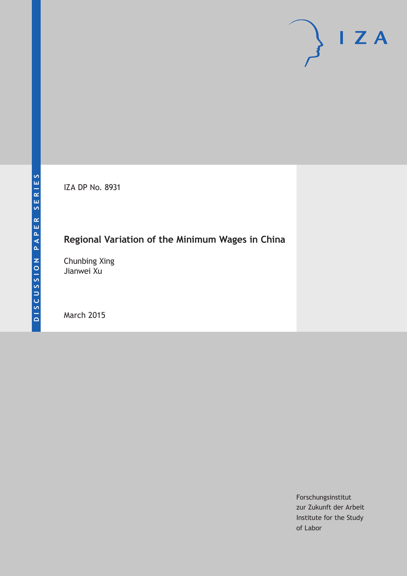IZA DP No. 8931

# **Regional Variation of the Minimum Wages in China**

Chunbing Xing Jianwei Xu

March 2015

Forschungsinstitut zur Zukunft der Arbeit Institute for the Study of Labor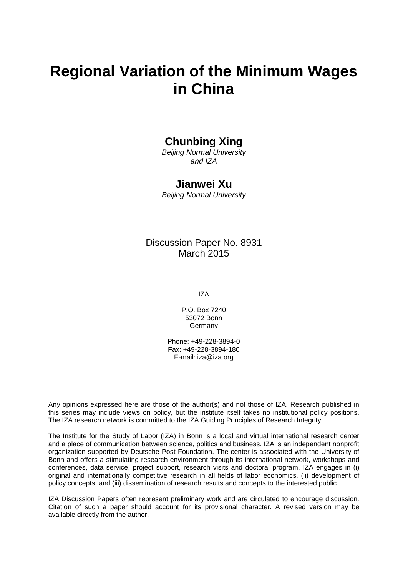# **Regional Variation of the Minimum Wages in China**

### **Chunbing Xing**

*Beijing Normal University and IZA*

### **Jianwei Xu**

*Beijing Normal University*

### Discussion Paper No. 8931 March 2015

IZA

P.O. Box 7240 53072 Bonn **Germany** 

Phone: +49-228-3894-0 Fax: +49-228-3894-180 E-mail: iza@iza.org

Any opinions expressed here are those of the author(s) and not those of IZA. Research published in this series may include views on policy, but the institute itself takes no institutional policy positions. The IZA research network is committed to the IZA Guiding Principles of Research Integrity.

The Institute for the Study of Labor (IZA) in Bonn is a local and virtual international research center and a place of communication between science, politics and business. IZA is an independent nonprofit organization supported by Deutsche Post Foundation. The center is associated with the University of Bonn and offers a stimulating research environment through its international network, workshops and conferences, data service, project support, research visits and doctoral program. IZA engages in (i) original and internationally competitive research in all fields of labor economics, (ii) development of policy concepts, and (iii) dissemination of research results and concepts to the interested public.

IZA Discussion Papers often represent preliminary work and are circulated to encourage discussion. Citation of such a paper should account for its provisional character. A revised version may be available directly from the author.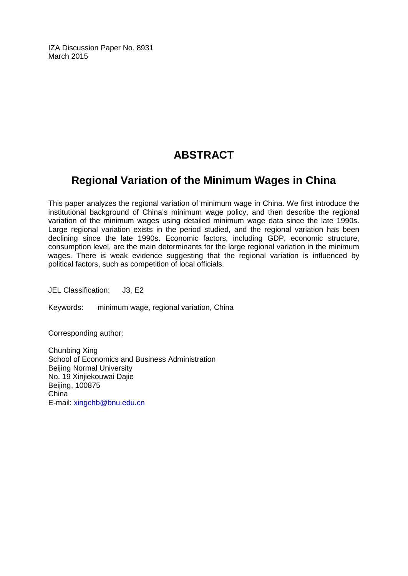IZA Discussion Paper No. 8931 March 2015

# **ABSTRACT**

### **Regional Variation of the Minimum Wages in China**

This paper analyzes the regional variation of minimum wage in China. We first introduce the institutional background of China's minimum wage policy, and then describe the regional variation of the minimum wages using detailed minimum wage data since the late 1990s. Large regional variation exists in the period studied, and the regional variation has been declining since the late 1990s. Economic factors, including GDP, economic structure, consumption level, are the main determinants for the large regional variation in the minimum wages. There is weak evidence suggesting that the regional variation is influenced by political factors, such as competition of local officials.

JEL Classification: J3, E2

Keywords: minimum wage, regional variation, China

Corresponding author:

Chunbing Xing School of Economics and Business Administration Beijing Normal University No. 19 Xinjiekouwai Dajie Beijing, 100875 China E-mail: [xingchb@bnu.edu.cn](mailto:xingchb@bnu.edu.cn)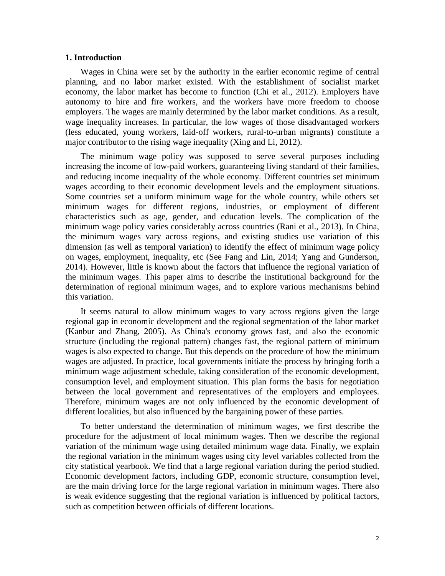#### **1. Introduction**

Wages in China were set by the authority in the earlier economic regime of central planning, and no labor market existed. With the establishment of socialist market economy, the labor market has become to function (Chi et al., 2012). Employers have autonomy to hire and fire workers, and the workers have more freedom to choose employers. The wages are mainly determined by the labor market conditions. As a result, wage inequality increases. In particular, the low wages of those disadvantaged workers (less educated, young workers, laid-off workers, rural-to-urban migrants) constitute a major contributor to the rising wage inequality (Xing and Li, 2012).

The minimum wage policy was supposed to serve several purposes including increasing the income of low-paid workers, guaranteeing living standard of their families, and reducing income inequality of the whole economy. Different countries set minimum wages according to their economic development levels and the employment situations. Some countries set a uniform minimum wage for the whole country, while others set minimum wages for different regions, industries, or employment of different characteristics such as age, gender, and education levels. The complication of the minimum wage policy varies considerably across countries (Rani et al., 2013). In China, the minimum wages vary across regions, and existing studies use variation of this dimension (as well as temporal variation) to identify the effect of minimum wage policy on wages, employment, inequality, etc (See Fang and Lin, 2014; Yang and Gunderson, 2014). However, little is known about the factors that influence the regional variation of the minimum wages. This paper aims to describe the institutional background for the determination of regional minimum wages, and to explore various mechanisms behind this variation.

It seems natural to allow minimum wages to vary across regions given the large regional gap in economic development and the regional segmentation of the labor market (Kanbur and Zhang, 2005). As China's economy grows fast, and also the economic structure (including the regional pattern) changes fast, the regional pattern of minimum wages is also expected to change. But this depends on the procedure of how the minimum wages are adjusted. In practice, local governments initiate the process by bringing forth a minimum wage adjustment schedule, taking consideration of the economic development, consumption level, and employment situation. This plan forms the basis for negotiation between the local government and representatives of the employers and employees. Therefore, minimum wages are not only influenced by the economic development of different localities, but also influenced by the bargaining power of these parties.

To better understand the determination of minimum wages, we first describe the procedure for the adjustment of local minimum wages. Then we describe the regional variation of the minimum wage using detailed minimum wage data. Finally, we explain the regional variation in the minimum wages using city level variables collected from the city statistical yearbook. We find that a large regional variation during the period studied. Economic development factors, including GDP, economic structure, consumption level, are the main driving force for the large regional variation in minimum wages. There also is weak evidence suggesting that the regional variation is influenced by political factors, such as competition between officials of different locations.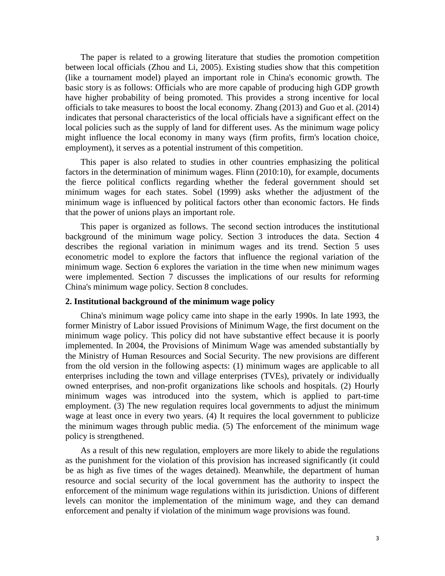The paper is related to a growing literature that studies the promotion competition between local officials (Zhou and Li, 2005). Existing studies show that this competition (like a tournament model) played an important role in China's economic growth. The basic story is as follows: Officials who are more capable of producing high GDP growth have higher probability of being promoted. This provides a strong incentive for local officials to take measures to boost the local economy. Zhang (2013) and Guo et al. (2014) indicates that personal characteristics of the local officials have a significant effect on the local policies such as the supply of land for different uses. As the minimum wage policy might influence the local economy in many ways (firm profits, firm's location choice, employment), it serves as a potential instrument of this competition.

This paper is also related to studies in other countries emphasizing the political factors in the determination of minimum wages. Flinn (2010:10), for example, documents the fierce political conflicts regarding whether the federal government should set minimum wages for each states. Sobel (1999) asks whether the adjustment of the minimum wage is influenced by political factors other than economic factors. He finds that the power of unions plays an important role.

This paper is organized as follows. The second section introduces the institutional background of the minimum wage policy. Section 3 introduces the data. Section 4 describes the regional variation in minimum wages and its trend. Section 5 uses econometric model to explore the factors that influence the regional variation of the minimum wage. Section 6 explores the variation in the time when new minimum wages were implemented. Section 7 discusses the implications of our results for reforming China's minimum wage policy. Section 8 concludes.

#### **2. Institutional background of the minimum wage policy**

China's minimum wage policy came into shape in the early 1990s. In late 1993, the former Ministry of Labor issued Provisions of Minimum Wage, the first document on the minimum wage policy. This policy did not have substantive effect because it is poorly implemented. In 2004, the Provisions of Minimum Wage was amended substantially by the Ministry of Human Resources and Social Security. The new provisions are different from the old version in the following aspects: (1) minimum wages are applicable to all enterprises including the town and village enterprises (TVEs), privately or individually owned enterprises, and non-profit organizations like schools and hospitals. (2) Hourly minimum wages was introduced into the system, which is applied to part-time employment. (3) The new regulation requires local governments to adjust the minimum wage at least once in every two years. (4) It requires the local government to publicize the minimum wages through public media. (5) The enforcement of the minimum wage policy is strengthened.

As a result of this new regulation, employers are more likely to abide the regulations as the punishment for the violation of this provision has increased significantly (it could be as high as five times of the wages detained). Meanwhile, the department of human resource and social security of the local government has the authority to inspect the enforcement of the minimum wage regulations within its jurisdiction. Unions of different levels can monitor the implementation of the minimum wage, and they can demand enforcement and penalty if violation of the minimum wage provisions was found.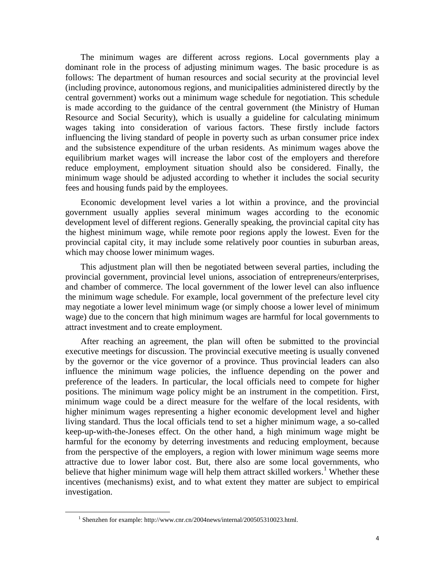The minimum wages are different across regions. Local governments play a dominant role in the process of adjusting minimum wages. The basic procedure is as follows: The department of human resources and social security at the provincial level (including province, autonomous regions, and municipalities administered directly by the central government) works out a minimum wage schedule for negotiation. This schedule is made according to the guidance of the central government (the Ministry of Human Resource and Social Security), which is usually a guideline for calculating minimum wages taking into consideration of various factors. These firstly include factors influencing the living standard of people in poverty such as urban consumer price index and the subsistence expenditure of the urban residents. As minimum wages above the equilibrium market wages will increase the labor cost of the employers and therefore reduce employment, employment situation should also be considered. Finally, the minimum wage should be adjusted according to whether it includes the social security fees and housing funds paid by the employees.

Economic development level varies a lot within a province, and the provincial government usually applies several minimum wages according to the economic development level of different regions. Generally speaking, the provincial capital city has the highest minimum wage, while remote poor regions apply the lowest. Even for the provincial capital city, it may include some relatively poor counties in suburban areas, which may choose lower minimum wages.

This adjustment plan will then be negotiated between several parties, including the provincial government, provincial level unions, association of entrepreneurs/enterprises, and chamber of commerce. The local government of the lower level can also influence the minimum wage schedule. For example, local government of the prefecture level city may negotiate a lower level minimum wage (or simply choose a lower level of minimum wage) due to the concern that high minimum wages are harmful for local governments to attract investment and to create employment.

After reaching an agreement, the plan will often be submitted to the provincial executive meetings for discussion. The provincial executive meeting is usually convened by the governor or the vice governor of a province. Thus provincial leaders can also influence the minimum wage policies, the influence depending on the power and preference of the leaders. In particular, the local officials need to compete for higher positions. The minimum wage policy might be an instrument in the competition. First, minimum wage could be a direct measure for the welfare of the local residents, with higher minimum wages representing a higher economic development level and higher living standard. Thus the local officials tend to set a higher minimum wage, a so-called keep-up-with-the-Joneses effect. On the other hand, a high minimum wage might be harmful for the economy by deterring investments and reducing employment, because from the perspective of the employers, a region with lower minimum wage seems more attractive due to lower labor cost. But, there also are some local governments, who believe that higher minimum wage will help them attract skilled workers.<sup>1</sup> Whether these incentives (mechanisms) exist, and to what extent they matter are subject to empirical investigation.

<span id="page-5-0"></span>l

<sup>&</sup>lt;sup>1</sup> Shenzhen for example: http://www.cnr.cn/2004news/internal/200505310023.html.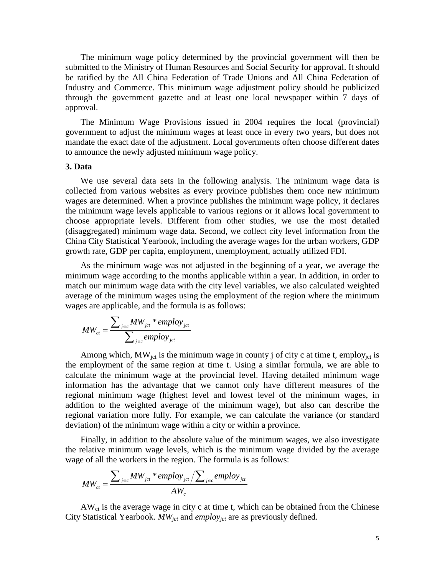The minimum wage policy determined by the provincial government will then be submitted to the Ministry of Human Resources and Social Security for approval. It should be ratified by the All China Federation of Trade Unions and All China Federation of Industry and Commerce. This minimum wage adjustment policy should be publicized through the government gazette and at least one local newspaper within 7 days of approval.

The Minimum Wage Provisions issued in 2004 requires the local (provincial) government to adjust the minimum wages at least once in every two years, but does not mandate the exact date of the adjustment. Local governments often choose different dates to announce the newly adjusted minimum wage policy.

#### **3. Data**

We use several data sets in the following analysis. The minimum wage data is collected from various websites as every province publishes them once new minimum wages are determined. When a province publishes the minimum wage policy, it declares the minimum wage levels applicable to various regions or it allows local government to choose appropriate levels. Different from other studies, we use the most detailed (disaggregated) minimum wage data. Second, we collect city level information from the China City Statistical Yearbook, including the average wages for the urban workers, GDP growth rate, GDP per capita, employment, unemployment, actually utilized FDI.

As the minimum wage was not adjusted in the beginning of a year, we average the minimum wage according to the months applicable within a year. In addition, in order to match our minimum wage data with the city level variables, we also calculated weighted average of the minimum wages using the employment of the region where the minimum wages are applicable, and the formula is as follows:

$$
MW_{ct} = \frac{\sum_{j \in c} MW_{jet} * employ_{jet}}{\sum_{j \in c} employ_{jet}}
$$

Among which,  $MW_{ict}$  is the minimum wage in county j of city c at time t, employ<sub>ict</sub> is the employment of the same region at time t. Using a similar formula, we are able to calculate the minimum wage at the provincial level. Having detailed minimum wage information has the advantage that we cannot only have different measures of the regional minimum wage (highest level and lowest level of the minimum wages, in addition to the weighted average of the minimum wage), but also can describe the regional variation more fully. For example, we can calculate the variance (or standard deviation) of the minimum wage within a city or within a province.

Finally, in addition to the absolute value of the minimum wages, we also investigate the relative minimum wage levels, which is the minimum wage divided by the average wage of all the workers in the region. The formula is as follows:

$$
MW_{ct} = \frac{\sum_{j \in c} MW_{ict} * employ_{jct}}{AW_{c}} / \sum_{j \in c} employ_{jct}
$$

 $AW<sub>ct</sub>$  is the average wage in city c at time t, which can be obtained from the Chinese City Statistical Yearbook. *MWjct* and *employjct* are as previously defined.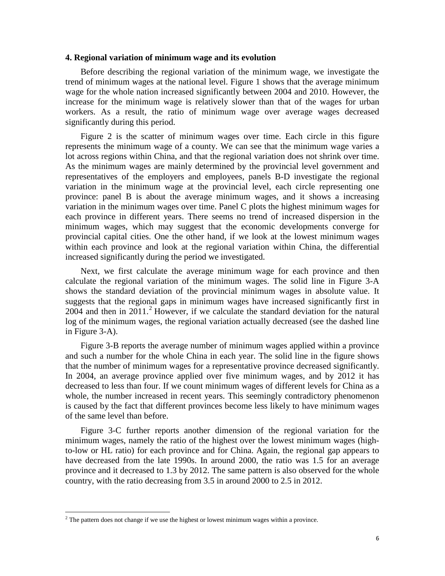#### **4. Regional variation of minimum wage and its evolution**

Before describing the regional variation of the minimum wage, we investigate the trend of minimum wages at the national level. [Figure 1](#page-17-0) shows that the average minimum wage for the whole nation increased significantly between 2004 and 2010. However, the increase for the minimum wage is relatively slower than that of the wages for urban workers. As a result, the ratio of minimum wage over average wages decreased significantly during this period.

[Figure 2](#page-18-0) is the scatter of minimum wages over time. Each circle in this figure represents the minimum wage of a county. We can see that the minimum wage varies a lot across regions within China, and that the regional variation does not shrink over time. As the minimum wages are mainly determined by the provincial level government and representatives of the employers and employees, panels B-D investigate the regional variation in the minimum wage at the provincial level, each circle representing one province: panel B is about the average minimum wages, and it shows a increasing variation in the minimum wages over time. Panel C plots the highest minimum wages for each province in different years. There seems no trend of increased dispersion in the minimum wages, which may suggest that the economic developments converge for provincial capital cities. One the other hand, if we look at the lowest minimum wages within each province and look at the regional variation within China, the differential increased significantly during the period we investigated.

Next, we first calculate the average minimum wage for each province and then calculate the regional variation of the minimum wages. The solid line in [Figure 3-](#page-19-0)A shows the standard deviation of the provincial minimum wages in absolute value. It suggests that the regional gaps in minimum wages have increased significantly first in [2](#page-5-0)004 and then in  $2011<sup>2</sup>$  However, if we calculate the standard deviation for the natural log of the minimum wages, the regional variation actually decreased (see the dashed line in [Figure 3-](#page-19-0)A).

[Figure 3-](#page-19-0)B reports the average number of minimum wages applied within a province and such a number for the whole China in each year. The solid line in the figure shows that the number of minimum wages for a representative province decreased significantly. In 2004, an average province applied over five minimum wages, and by 2012 it has decreased to less than four. If we count minimum wages of different levels for China as a whole, the number increased in recent years. This seemingly contradictory phenomenon is caused by the fact that different provinces become less likely to have minimum wages of the same level than before.

[Figure 3-](#page-19-0)C further reports another dimension of the regional variation for the minimum wages, namely the ratio of the highest over the lowest minimum wages (highto-low or HL ratio) for each province and for China. Again, the regional gap appears to have decreased from the late 1990s. In around 2000, the ratio was 1.5 for an average province and it decreased to 1.3 by 2012. The same pattern is also observed for the whole country, with the ratio decreasing from 3.5 in around 2000 to 2.5 in 2012.

l

<span id="page-7-0"></span> $2$  The pattern does not change if we use the highest or lowest minimum wages within a province.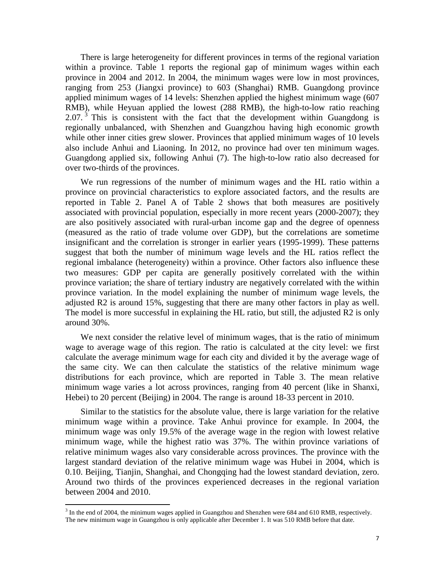There is large heterogeneity for different provinces in terms of the regional variation within a province. [Table 1](#page-20-0) reports the regional gap of minimum wages within each province in 2004 and 2012. In 2004, the minimum wages were low in most provinces, ranging from 253 (Jiangxi province) to 603 (Shanghai) RMB. Guangdong province applied minimum wages of 14 levels: Shenzhen applied the highest minimum wage (607 RMB), while Heyuan applied the lowest (288 RMB), the high-to-low ratio reaching 2.07.  $3$  This is consistent with the fact that the development within Guangdong is regionally unbalanced, with Shenzhen and Guangzhou having high economic growth while other inner cities grew slower. Provinces that applied minimum wages of 10 levels also include Anhui and Liaoning. In 2012, no province had over ten minimum wages. Guangdong applied six, following Anhui (7). The high-to-low ratio also decreased for over two-thirds of the provinces.

We run regressions of the number of minimum wages and the HL ratio within a province on provincial characteristics to explore associated factors, and the results are reported in [Table 2.](#page-21-0) Panel A of [Table 2](#page-21-0) shows that both measures are positively associated with provincial population, especially in more recent years (2000-2007); they are also positively associated with rural-urban income gap and the degree of openness (measured as the ratio of trade volume over GDP), but the correlations are sometime insignificant and the correlation is stronger in earlier years (1995-1999). These patterns suggest that both the number of minimum wage levels and the HL ratios reflect the regional imbalance (heterogeneity) within a province. Other factors also influence these two measures: GDP per capita are generally positively correlated with the within province variation; the share of tertiary industry are negatively correlated with the within province variation. In the model explaining the number of minimum wage levels, the adjusted R2 is around 15%, suggesting that there are many other factors in play as well. The model is more successful in explaining the HL ratio, but still, the adjusted R2 is only around 30%.

We next consider the relative level of minimum wages, that is the ratio of minimum wage to average wage of this region. The ratio is calculated at the city level: we first calculate the average minimum wage for each city and divided it by the average wage of the same city. We can then calculate the statistics of the relative minimum wage distributions for each province, which are reported in [Table 3.](#page-22-0) The mean relative minimum wage varies a lot across provinces, ranging from 40 percent (like in Shanxi, Hebei) to 20 percent (Beijing) in 2004. The range is around 18-33 percent in 2010.

Similar to the statistics for the absolute value, there is large variation for the relative minimum wage within a province. Take Anhui province for example. In 2004, the minimum wage was only 19.5% of the average wage in the region with lowest relative minimum wage, while the highest ratio was 37%. The within province variations of relative minimum wages also vary considerable across provinces. The province with the largest standard deviation of the relative minimum wage was Hubei in 2004, which is 0.10. Beijing, Tianjin, Shanghai, and Chongqing had the lowest standard deviation, zero. Around two thirds of the provinces experienced decreases in the regional variation between 2004 and 2010.

 $\overline{\phantom{a}}$ 

<span id="page-8-0"></span> $3$  In the end of 2004, the minimum wages applied in Guangzhou and Shenzhen were 684 and 610 RMB, respectively. The new minimum wage in Guangzhou is only applicable after December 1. It was 510 RMB before that date.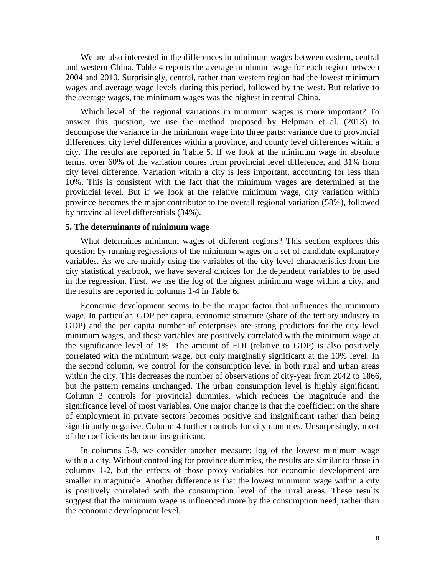We are also interested in the differences in minimum wages between eastern, central and western China. [Table 4](#page-23-0) reports the average minimum wage for each region between 2004 and 2010. Surprisingly, central, rather than western region had the lowest minimum wages and average wage levels during this period, followed by the west. But relative to the average wages, the minimum wages was the highest in central China.

Which level of the regional variations in minimum wages is more important? To answer this question, we use the method proposed by Helpman et al. (2013) to decompose the variance in the minimum wage into three parts: variance due to provincial differences, city level differences within a province, and county level differences within a city. The results are reported in [Table 5.](#page-23-1) If we look at the minimum wage in absolute terms, over 60% of the variation comes from provincial level difference, and 31% from city level difference. Variation within a city is less important, accounting for less than 10%. This is consistent with the fact that the minimum wages are determined at the provincial level. But if we look at the relative minimum wage, city variation within province becomes the major contributor to the overall regional variation (58%), followed by provincial level differentials (34%).

#### **5. The determinants of minimum wage**

What determines minimum wages of different regions? This section explores this question by running regressions of the minimum wages on a set of candidate explanatory variables. As we are mainly using the variables of the city level characteristics from the city statistical yearbook, we have several choices for the dependent variables to be used in the regression. First, we use the log of the highest minimum wage within a city, and the results are reported in columns 1-4 in [Table 6.](#page-24-0)

Economic development seems to be the major factor that influences the minimum wage. In particular, GDP per capita, economic structure (share of the tertiary industry in GDP) and the per capita number of enterprises are strong predictors for the city level minimum wages, and these variables are positively correlated with the minimum wage at the significance level of 1%. The amount of FDI (relative to GDP) is also positively correlated with the minimum wage, but only marginally significant at the 10% level. In the second column, we control for the consumption level in both rural and urban areas within the city. This decreases the number of observations of city-year from 2042 to 1866, but the pattern remains unchanged. The urban consumption level is highly significant. Column 3 controls for provincial dummies, which reduces the magnitude and the significance level of most variables. One major change is that the coefficient on the share of employment in private sectors becomes positive and insignificant rather than being significantly negative. Column 4 further controls for city dummies. Unsurprisingly, most of the coefficients become insignificant.

In columns 5-8, we consider another measure: log of the lowest minimum wage within a city. Without controlling for province dummies, the results are similar to those in columns 1-2, but the effects of those proxy variables for economic development are smaller in magnitude. Another difference is that the lowest minimum wage within a city is positively correlated with the consumption level of the rural areas. These results suggest that the minimum wage is influenced more by the consumption need, rather than the economic development level.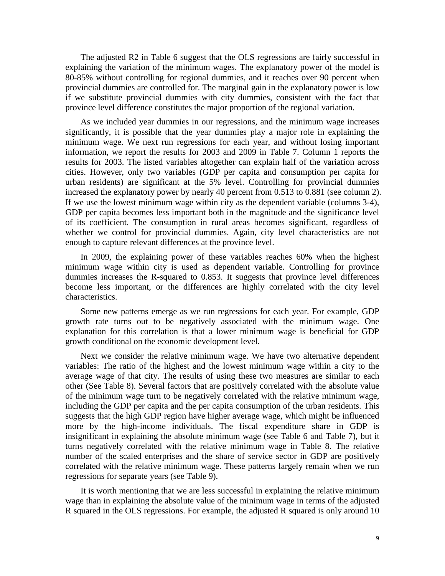The adjusted R2 in [Table 6](#page-24-0) suggest that the OLS regressions are fairly successful in explaining the variation of the minimum wages. The explanatory power of the model is 80-85% without controlling for regional dummies, and it reaches over 90 percent when provincial dummies are controlled for. The marginal gain in the explanatory power is low if we substitute provincial dummies with city dummies, consistent with the fact that province level difference constitutes the major proportion of the regional variation.

As we included year dummies in our regressions, and the minimum wage increases significantly, it is possible that the year dummies play a major role in explaining the minimum wage. We next run regressions for each year, and without losing important information, we report the results for 2003 and 2009 in [Table 7.](#page-25-0) Column 1 reports the results for 2003. The listed variables altogether can explain half of the variation across cities. However, only two variables (GDP per capita and consumption per capita for urban residents) are significant at the 5% level. Controlling for provincial dummies increased the explanatory power by nearly 40 percent from 0.513 to 0.881 (see column 2). If we use the lowest minimum wage within city as the dependent variable (columns 3-4), GDP per capita becomes less important both in the magnitude and the significance level of its coefficient. The consumption in rural areas becomes significant, regardless of whether we control for provincial dummies. Again, city level characteristics are not enough to capture relevant differences at the province level.

In 2009, the explaining power of these variables reaches 60% when the highest minimum wage within city is used as dependent variable. Controlling for province dummies increases the R-squared to 0.853. It suggests that province level differences become less important, or the differences are highly correlated with the city level characteristics.

Some new patterns emerge as we run regressions for each year. For example, GDP growth rate turns out to be negatively associated with the minimum wage. One explanation for this correlation is that a lower minimum wage is beneficial for GDP growth conditional on the economic development level.

Next we consider the relative minimum wage. We have two alternative dependent variables: The ratio of the highest and the lowest minimum wage within a city to the average wage of that city. The results of using these two measures are similar to each other (See [Table 8\)](#page-26-0). Several factors that are positively correlated with the absolute value of the minimum wage turn to be negatively correlated with the relative minimum wage, including the GDP per capita and the per capita consumption of the urban residents. This suggests that the high GDP region have higher average wage, which might be influenced more by the high-income individuals. The fiscal expenditure share in GDP is insignificant in explaining the absolute minimum wage (see [Table 6](#page-24-0) and [Table 7\)](#page-25-0), but it turns negatively correlated with the relative minimum wage in [Table 8.](#page-26-0) The relative number of the scaled enterprises and the share of service sector in GDP are positively correlated with the relative minimum wage. These patterns largely remain when we run regressions for separate years (see [Table 9\)](#page-27-0).

It is worth mentioning that we are less successful in explaining the relative minimum wage than in explaining the absolute value of the minimum wage in terms of the adjusted R squared in the OLS regressions. For example, the adjusted R squared is only around 10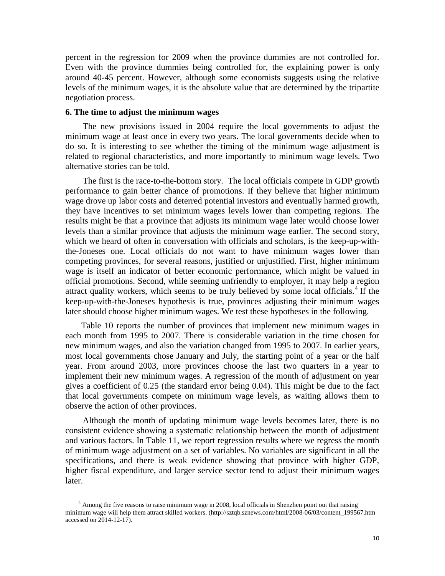percent in the regression for 2009 when the province dummies are not controlled for. Even with the province dummies being controlled for, the explaining power is only around 40-45 percent. However, although some economists suggests using the relative levels of the minimum wages, it is the absolute value that are determined by the tripartite negotiation process.

#### **6. The time to adjust the minimum wages**

 $\overline{\phantom{a}}$ 

The new provisions issued in 2004 require the local governments to adjust the minimum wage at least once in every two years. The local governments decide when to do so. It is interesting to see whether the timing of the minimum wage adjustment is related to regional characteristics, and more importantly to minimum wage levels. Two alternative stories can be told.

The first is the race-to-the-bottom story. The local officials compete in GDP growth performance to gain better chance of promotions. If they believe that higher minimum wage drove up labor costs and deterred potential investors and eventually harmed growth, they have incentives to set minimum wages levels lower than competing regions. The results might be that a province that adjusts its minimum wage later would choose lower levels than a similar province that adjusts the minimum wage earlier. The second story, which we heard of often in conversation with officials and scholars, is the keep-up-withthe-Joneses one. Local officials do not want to have minimum wages lower than competing provinces, for several reasons, justified or unjustified. First, higher minimum wage is itself an indicator of better economic performance, which might be valued in official promotions. Second, while seeming unfriendly to employer, it may help a region attract quality workers, which seems to be truly believed by some local officials. [4](#page-8-0) If the keep-up-with-the-Joneses hypothesis is true, provinces adjusting their minimum wages later should choose higher minimum wages. We test these hypotheses in the following.

[Table 10](#page-28-0) reports the number of provinces that implement new minimum wages in each month from 1995 to 2007. There is considerable variation in the time chosen for new minimum wages, and also the variation changed from 1995 to 2007. In earlier years, most local governments chose January and July, the starting point of a year or the half year. From around 2003, more provinces choose the last two quarters in a year to implement their new minimum wages. A regression of the month of adjustment on year gives a coefficient of 0.25 (the standard error being 0.04). This might be due to the fact that local governments compete on minimum wage levels, as waiting allows them to observe the action of other provinces.

Although the month of updating minimum wage levels becomes later, there is no consistent evidence showing a systematic relationship between the month of adjustment and various factors. In [Table 11,](#page-28-1) we report regression results where we regress the month of minimum wage adjustment on a set of variables. No variables are significant in all the specifications, and there is weak evidence showing that province with higher GDP, higher fiscal expenditure, and larger service sector tend to adjust their minimum wages later.

<sup>4</sup> Among the five reasons to raise minimum wage in 2008, local officials in Shenzhen point out that raising minimum wage will help them attract skilled workers. (http://sztqb.sznews.com/html/2008-06/03/content\_199567.htm accessed on 2014-12-17).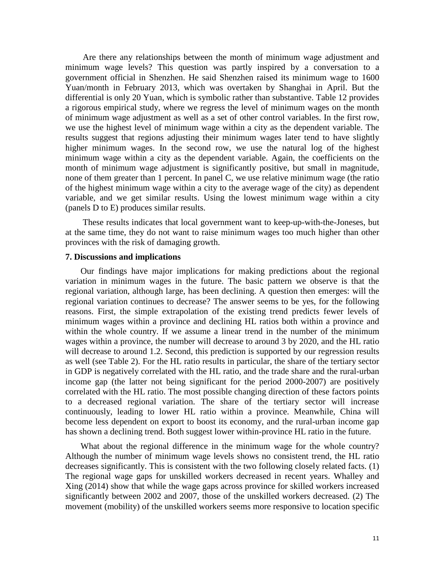Are there any relationships between the month of minimum wage adjustment and minimum wage levels? This question was partly inspired by a conversation to a government official in Shenzhen. He said Shenzhen raised its minimum wage to 1600 Yuan/month in February 2013, which was overtaken by Shanghai in April. But the differential is only 20 Yuan, which is symbolic rather than substantive. [Table 12](#page-29-0) provides a rigorous empirical study, where we regress the level of minimum wages on the month of minimum wage adjustment as well as a set of other control variables. In the first row, we use the highest level of minimum wage within a city as the dependent variable. The results suggest that regions adjusting their minimum wages later tend to have slightly higher minimum wages. In the second row, we use the natural log of the highest minimum wage within a city as the dependent variable. Again, the coefficients on the month of minimum wage adjustment is significantly positive, but small in magnitude, none of them greater than 1 percent. In panel C, we use relative minimum wage (the ratio of the highest minimum wage within a city to the average wage of the city) as dependent variable, and we get similar results. Using the lowest minimum wage within a city (panels D to E) produces similar results.

These results indicates that local government want to keep-up-with-the-Joneses, but at the same time, they do not want to raise minimum wages too much higher than other provinces with the risk of damaging growth.

#### **7. Discussions and implications**

Our findings have major implications for making predictions about the regional variation in minimum wages in the future. The basic pattern we observe is that the regional variation, although large, has been declining. A question then emerges: will the regional variation continues to decrease? The answer seems to be yes, for the following reasons. First, the simple extrapolation of the existing trend predicts fewer levels of minimum wages within a province and declining HL ratios both within a province and within the whole country. If we assume a linear trend in the number of the minimum wages within a province, the number will decrease to around 3 by 2020, and the HL ratio will decrease to around 1.2. Second, this prediction is supported by our regression results as well (see [Table 2\)](#page-21-0). For the HL ratio results in particular, the share of the tertiary sector in GDP is negatively correlated with the HL ratio, and the trade share and the rural-urban income gap (the latter not being significant for the period 2000-2007) are positively correlated with the HL ratio. The most possible changing direction of these factors points to a decreased regional variation. The share of the tertiary sector will increase continuously, leading to lower HL ratio within a province. Meanwhile, China will become less dependent on export to boost its economy, and the rural-urban income gap has shown a declining trend. Both suggest lower within-province HL ratio in the future.

What about the regional difference in the minimum wage for the whole country? Although the number of minimum wage levels shows no consistent trend, the HL ratio decreases significantly. This is consistent with the two following closely related facts. (1) The regional wage gaps for unskilled workers decreased in recent years. Whalley and Xing (2014) show that while the wage gaps across province for skilled workers increased significantly between 2002 and 2007, those of the unskilled workers decreased. (2) The movement (mobility) of the unskilled workers seems more responsive to location specific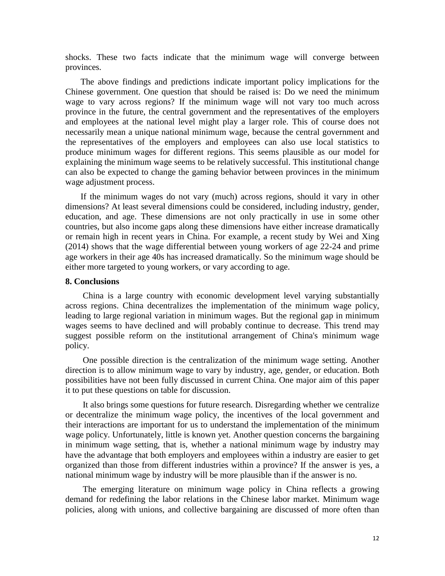shocks. These two facts indicate that the minimum wage will converge between provinces.

The above findings and predictions indicate important policy implications for the Chinese government. One question that should be raised is: Do we need the minimum wage to vary across regions? If the minimum wage will not vary too much across province in the future, the central government and the representatives of the employers and employees at the national level might play a larger role. This of course does not necessarily mean a unique national minimum wage, because the central government and the representatives of the employers and employees can also use local statistics to produce minimum wages for different regions. This seems plausible as our model for explaining the minimum wage seems to be relatively successful. This institutional change can also be expected to change the gaming behavior between provinces in the minimum wage adjustment process.

If the minimum wages do not vary (much) across regions, should it vary in other dimensions? At least several dimensions could be considered, including industry, gender, education, and age. These dimensions are not only practically in use in some other countries, but also income gaps along these dimensions have either increase dramatically or remain high in recent years in China. For example, a recent study by Wei and Xing (2014) shows that the wage differential between young workers of age 22-24 and prime age workers in their age 40s has increased dramatically. So the minimum wage should be either more targeted to young workers, or vary according to age.

#### **8. Conclusions**

China is a large country with economic development level varying substantially across regions. China decentralizes the implementation of the minimum wage policy, leading to large regional variation in minimum wages. But the regional gap in minimum wages seems to have declined and will probably continue to decrease. This trend may suggest possible reform on the institutional arrangement of China's minimum wage policy.

One possible direction is the centralization of the minimum wage setting. Another direction is to allow minimum wage to vary by industry, age, gender, or education. Both possibilities have not been fully discussed in current China. One major aim of this paper it to put these questions on table for discussion.

It also brings some questions for future research. Disregarding whether we centralize or decentralize the minimum wage policy, the incentives of the local government and their interactions are important for us to understand the implementation of the minimum wage policy. Unfortunately, little is known yet. Another question concerns the bargaining in minimum wage setting, that is, whether a national minimum wage by industry may have the advantage that both employers and employees within a industry are easier to get organized than those from different industries within a province? If the answer is yes, a national minimum wage by industry will be more plausible than if the answer is no.

The emerging literature on minimum wage policy in China reflects a growing demand for redefining the labor relations in the Chinese labor market. Minimum wage policies, along with unions, and collective bargaining are discussed of more often than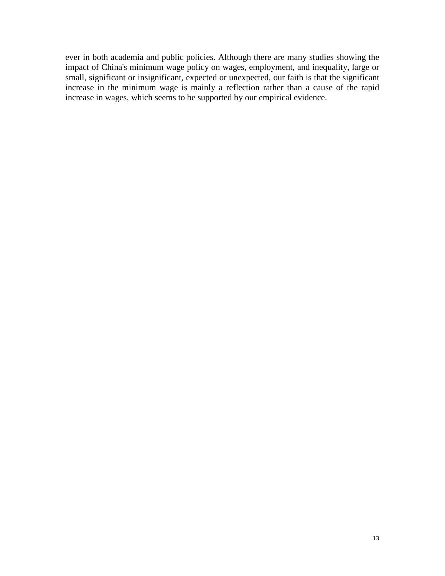ever in both academia and public policies. Although there are many studies showing the impact of China's minimum wage policy on wages, employment, and inequality, large or small, significant or insignificant, expected or unexpected, our faith is that the significant increase in the minimum wage is mainly a reflection rather than a cause of the rapid increase in wages, which seems to be supported by our empirical evidence.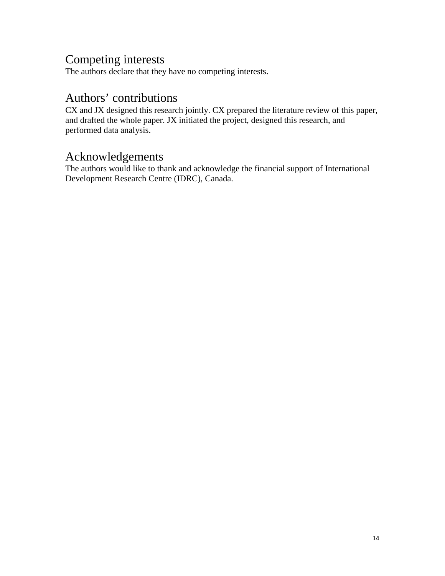## Competing interests

The authors declare that they have no competing interests.

### Authors' contributions

CX and JX designed this research jointly. CX prepared the literature review of this paper, and drafted the whole paper. JX initiated the project, designed this research, and performed data analysis.

### Acknowledgements

The authors would like to thank and acknowledge the financial support of International Development Research Centre (IDRC), Canada.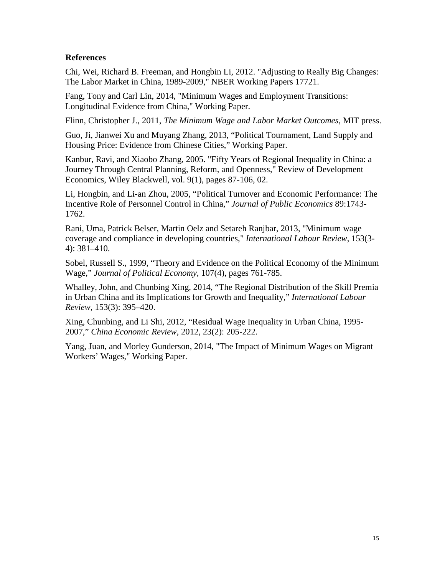#### **References**

Chi, Wei, Richard B. Freeman, and Hongbin Li, 2012. "Adjusting to Really Big Changes: The Labor Market in China, 1989-2009," NBER Working Papers 17721.

Fang, Tony and Carl Lin, 2014, "Minimum Wages and Employment Transitions: Longitudinal Evidence from China," Working Paper.

Flinn, Christopher J., 2011, *The Minimum Wage and Labor Market Outcomes*, MIT press.

Guo, Ji, Jianwei Xu and Muyang Zhang, 2013, "Political Tournament, Land Supply and Housing Price: Evidence from Chinese Cities," Working Paper.

Kanbur, Ravi, and Xiaobo Zhang, 2005. "Fifty Years of Regional Inequality in China: a Journey Through Central Planning, Reform, and Openness," Review of Development Economics, Wiley Blackwell, vol. 9(1), pages 87-106, 02.

Li, Hongbin, and Li-an Zhou, 2005, "Political Turnover and Economic Performance: The Incentive Role of Personnel Control in China," *Journal of Public Economics* 89:1743- 1762.

Rani, Uma, Patrick Belser, Martin Oelz and Setareh Ranjbar, 2013, "Minimum wage coverage and compliance in developing countries," *International Labour Review*, 153(3- 4): 381–410.

Sobel, Russell S., 1999, "Theory and Evidence on the Political Economy of the Minimum Wage," *Journal of Political Economy*, 107(4), pages 761-785.

Whalley, John, and Chunbing Xing, 2014, "The Regional Distribution of the Skill Premia in Urban China and its Implications for Growth and Inequality," *International Labour Review*, 153(3): 395–420.

Xing, Chunbing, and Li Shi, 2012, "Residual Wage Inequality in Urban China, 1995- 2007," *China Economic Review*, 2012, 23(2): 205-222.

Yang, Juan, and Morley Gunderson, 2014, "The Impact of Minimum Wages on Migrant Workers' Wages," Working Paper.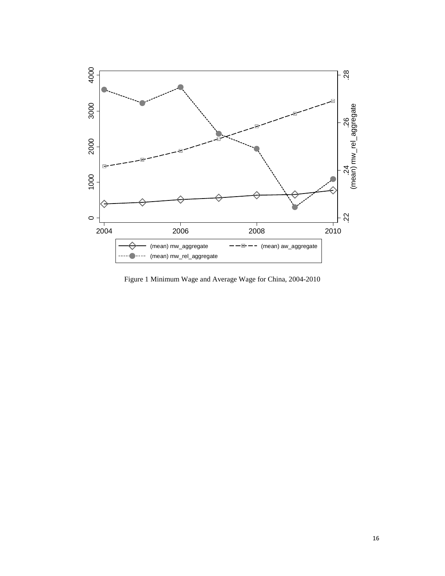

<span id="page-17-0"></span>Figure 1 Minimum Wage and Average Wage for China, 2004-2010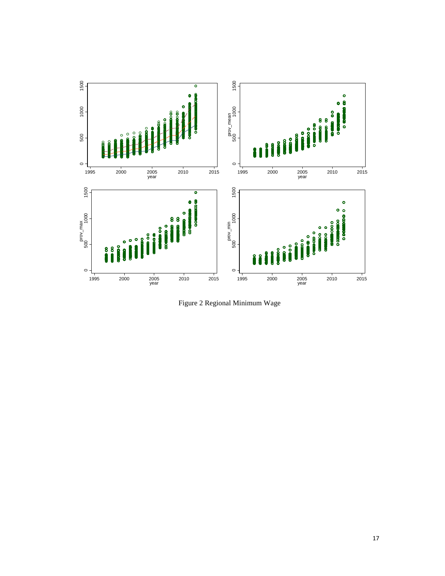

<span id="page-18-0"></span>Figure 2 Regional Minimum Wage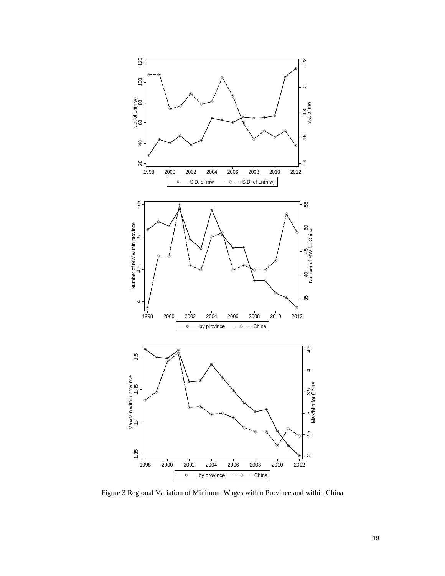

<span id="page-19-0"></span>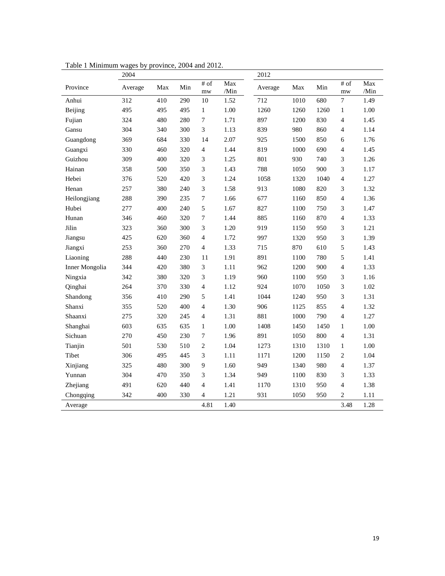|                | 2004    |     |     |                |             | 2012    |      |      |                               |             |
|----------------|---------|-----|-----|----------------|-------------|---------|------|------|-------------------------------|-------------|
| Province       | Average | Max | Min | $#$ of<br>mw   | Max<br>/Min | Average | Max  | Min  | $\overline{\# \circ f}$<br>mw | Max<br>/Min |
| Anhui          | 312     | 410 | 290 | 10             | 1.52        | 712     | 1010 | 680  | 7                             | 1.49        |
| Beijing        | 495     | 495 | 495 | 1              | 1.00        | 1260    | 1260 | 1260 | $\mathbf{1}$                  | 1.00        |
| Fujian         | 324     | 480 | 280 | 7              | 1.71        | 897     | 1200 | 830  | $\overline{4}$                | 1.45        |
| Gansu          | 304     | 340 | 300 | 3              | 1.13        | 839     | 980  | 860  | $\overline{4}$                | 1.14        |
| Guangdong      | 369     | 684 | 330 | 14             | 2.07        | 925     | 1500 | 850  | 6                             | 1.76        |
| Guangxi        | 330     | 460 | 320 | $\overline{4}$ | 1.44        | 819     | 1000 | 690  | $\overline{4}$                | 1.45        |
| Guizhou        | 309     | 400 | 320 | 3              | 1.25        | 801     | 930  | 740  | 3                             | 1.26        |
| Hainan         | 358     | 500 | 350 | 3              | 1.43        | 788     | 1050 | 900  | 3                             | 1.17        |
| Hebei          | 376     | 520 | 420 | 3              | 1.24        | 1058    | 1320 | 1040 | $\overline{4}$                | 1.27        |
| Henan          | 257     | 380 | 240 | 3              | 1.58        | 913     | 1080 | 820  | 3                             | 1.32        |
| Heilongjiang   | 288     | 390 | 235 | 7              | 1.66        | 677     | 1160 | 850  | $\overline{4}$                | 1.36        |
| Hubei          | 277     | 400 | 240 | 5              | 1.67        | 827     | 1100 | 750  | 3                             | 1.47        |
| Hunan          | 346     | 460 | 320 | 7              | 1.44        | 885     | 1160 | 870  | $\overline{4}$                | 1.33        |
| Jilin          | 323     | 360 | 300 | 3              | 1.20        | 919     | 1150 | 950  | 3                             | 1.21        |
| Jiangsu        | 425     | 620 | 360 | 4              | 1.72        | 997     | 1320 | 950  | 3                             | 1.39        |
| Jiangxi        | 253     | 360 | 270 | $\overline{4}$ | 1.33        | 715     | 870  | 610  | 5                             | 1.43        |
| Liaoning       | 288     | 440 | 230 | 11             | 1.91        | 891     | 1100 | 780  | 5                             | 1.41        |
| Inner Mongolia | 344     | 420 | 380 | 3              | 1.11        | 962     | 1200 | 900  | $\overline{4}$                | 1.33        |
| Ningxia        | 342     | 380 | 320 | 3              | 1.19        | 960     | 1100 | 950  | 3                             | 1.16        |
| Qinghai        | 264     | 370 | 330 | $\overline{4}$ | 1.12        | 924     | 1070 | 1050 | 3                             | 1.02        |
| Shandong       | 356     | 410 | 290 | 5              | 1.41        | 1044    | 1240 | 950  | 3                             | 1.31        |
| Shanxi         | 355     | 520 | 400 | $\overline{4}$ | 1.30        | 906     | 1125 | 855  | $\overline{4}$                | 1.32        |
| Shaanxi        | 275     | 320 | 245 | $\overline{4}$ | 1.31        | 881     | 1000 | 790  | $\overline{4}$                | 1.27        |
| Shanghai       | 603     | 635 | 635 | 1              | 1.00        | 1408    | 1450 | 1450 | $\mathbf{1}$                  | 1.00        |
| Sichuan        | 270     | 450 | 230 | 7              | 1.96        | 891     | 1050 | 800  | $\overline{4}$                | 1.31        |
| Tianjin        | 501     | 530 | 510 | $\mathbf{2}$   | 1.04        | 1273    | 1310 | 1310 | $\mathbf{1}$                  | 1.00        |
| Tibet          | 306     | 495 | 445 | 3              | 1.11        | 1171    | 1200 | 1150 | $\overline{c}$                | 1.04        |
| Xinjiang       | 325     | 480 | 300 | 9              | 1.60        | 949     | 1340 | 980  | $\overline{4}$                | 1.37        |
| Yunnan         | 304     | 470 | 350 | 3              | 1.34        | 949     | 1100 | 830  | 3                             | 1.33        |
| Zhejiang       | 491     | 620 | 440 | 4              | 1.41        | 1170    | 1310 | 950  | $\overline{4}$                | 1.38        |
| Chongqing      | 342     | 400 | 330 | 4              | 1.21        | 931     | 1050 | 950  | $\overline{c}$                | 1.11        |
| Average        |         |     |     | 4.81           | 1.40        |         |      |      | 3.48                          | 1.28        |

<span id="page-20-0"></span>Table 1 Minimum wages by province, 2004 and 2012.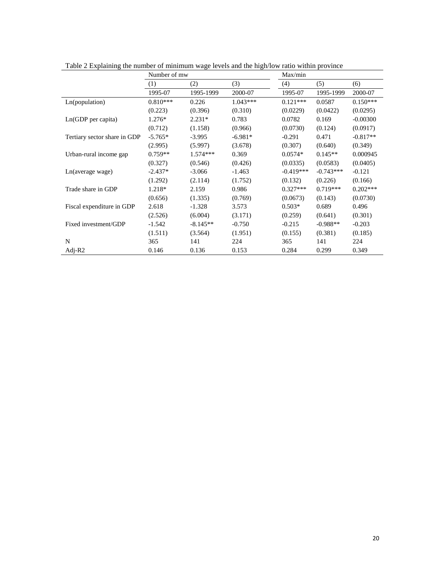|                              | Number of mw |            |            | Max/min     |             |            |
|------------------------------|--------------|------------|------------|-------------|-------------|------------|
|                              | (1)          | (2)        | (3)        | (4)         | (5)         | (6)        |
|                              | 1995-07      | 1995-1999  | 2000-07    | 1995-07     | 1995-1999   | 2000-07    |
| Ln(population)               | $0.810***$   | 0.226      | $1.043***$ | $0.121***$  | 0.0587      | $0.150***$ |
|                              | (0.223)      | (0.396)    | (0.310)    | (0.0229)    | (0.0422)    | (0.0295)   |
| $Ln(GDP$ per capita)         | $1.276*$     | $2.231*$   | 0.783      | 0.0782      | 0.169       | $-0.00300$ |
|                              | (0.712)      | (1.158)    | (0.966)    | (0.0730)    | (0.124)     | (0.0917)   |
| Tertiary sector share in GDP | $-5.765*$    | $-3.995$   | $-6.981*$  | $-0.291$    | 0.471       | $-0.817**$ |
|                              | (2.995)      | (5.997)    | (3.678)    | (0.307)     | (0.640)     | (0.349)    |
| Urban-rural income gap       | $0.759**$    | $1.574***$ | 0.369      | $0.0574*$   | $0.145**$   | 0.000945   |
|                              | (0.327)      | (0.546)    | (0.426)    | (0.0335)    | (0.0583)    | (0.0405)   |
| Ln(average wage)             | $-2.437*$    | $-3.066$   | $-1.463$   | $-0.419***$ | $-0.743***$ | $-0.121$   |
|                              | (1.292)      | (2.114)    | (1.752)    | (0.132)     | (0.226)     | (0.166)    |
| Trade share in GDP           | 1.218*       | 2.159      | 0.986      | $0.327***$  | $0.719***$  | $0.202***$ |
|                              | (0.656)      | (1.335)    | (0.769)    | (0.0673)    | (0.143)     | (0.0730)   |
| Fiscal expenditure in GDP    | 2.618        | $-1.328$   | 3.573      | $0.503*$    | 0.689       | 0.496      |
|                              | (2.526)      | (6.004)    | (3.171)    | (0.259)     | (0.641)     | (0.301)    |
| Fixed investment/GDP         | $-1.542$     | $-8.145**$ | $-0.750$   | $-0.215$    | $-0.988**$  | $-0.203$   |
|                              | (1.511)      | (3.564)    | (1.951)    | (0.155)     | (0.381)     | (0.185)    |
| N                            | 365          | 141        | 224        | 365         | 141         | 224        |
| Adj- $R2$                    | 0.146        | 0.136      | 0.153      | 0.284       | 0.299       | 0.349      |

<span id="page-21-0"></span>Table 2 Explaining the number of minimum wage levels and the high/low ratio within province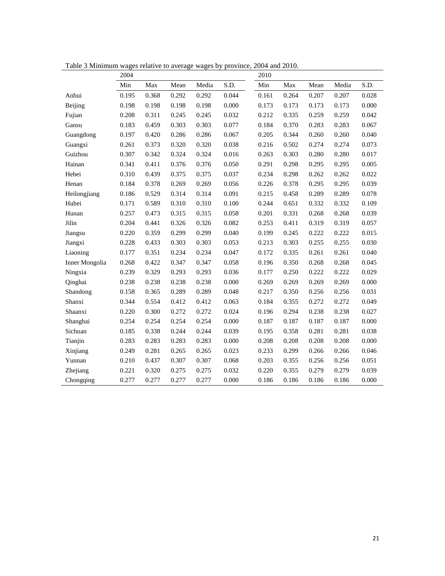|                | 2004  |       |       |       |       |       |       |       |       |       |
|----------------|-------|-------|-------|-------|-------|-------|-------|-------|-------|-------|
|                | Min   | Max   | Mean  | Media | S.D.  | Min   | Max   | Mean  | Media | S.D.  |
| Anhui          | 0.195 | 0.368 | 0.292 | 0.292 | 0.044 | 0.161 | 0.264 | 0.207 | 0.207 | 0.028 |
| Beijing        | 0.198 | 0.198 | 0.198 | 0.198 | 0.000 | 0.173 | 0.173 | 0.173 | 0.173 | 0.000 |
| Fujian         | 0.208 | 0.311 | 0.245 | 0.245 | 0.032 | 0.212 | 0.335 | 0.259 | 0.259 | 0.042 |
| Gansu          | 0.183 | 0.459 | 0.303 | 0.303 | 0.077 | 0.184 | 0.370 | 0.283 | 0.283 | 0.067 |
| Guangdong      | 0.197 | 0.420 | 0.286 | 0.286 | 0.067 | 0.205 | 0.344 | 0.260 | 0.260 | 0.040 |
| Guangxi        | 0.261 | 0.373 | 0.320 | 0.320 | 0.038 | 0.216 | 0.502 | 0.274 | 0.274 | 0.073 |
| Guizhou        | 0.307 | 0.342 | 0.324 | 0.324 | 0.016 | 0.263 | 0.303 | 0.280 | 0.280 | 0.017 |
| Hainan         | 0.341 | 0.411 | 0.376 | 0.376 | 0.050 | 0.291 | 0.298 | 0.295 | 0.295 | 0.005 |
| Hebei          | 0.310 | 0.439 | 0.375 | 0.375 | 0.037 | 0.234 | 0.298 | 0.262 | 0.262 | 0.022 |
| Henan          | 0.184 | 0.378 | 0.269 | 0.269 | 0.056 | 0.226 | 0.378 | 0.295 | 0.295 | 0.039 |
| Heilongjiang   | 0.186 | 0.529 | 0.314 | 0.314 | 0.091 | 0.215 | 0.458 | 0.289 | 0.289 | 0.078 |
| Hubei          | 0.171 | 0.589 | 0.310 | 0.310 | 0.100 | 0.244 | 0.651 | 0.332 | 0.332 | 0.109 |
| Hunan          | 0.257 | 0.473 | 0.315 | 0.315 | 0.058 | 0.201 | 0.331 | 0.268 | 0.268 | 0.039 |
| Jilin          | 0.204 | 0.441 | 0.326 | 0.326 | 0.082 | 0.253 | 0.411 | 0.319 | 0.319 | 0.057 |
| Jiangsu        | 0.220 | 0.359 | 0.299 | 0.299 | 0.040 | 0.199 | 0.245 | 0.222 | 0.222 | 0.015 |
| Jiangxi        | 0.228 | 0.433 | 0.303 | 0.303 | 0.053 | 0.213 | 0.303 | 0.255 | 0.255 | 0.030 |
| Liaoning       | 0.177 | 0.351 | 0.234 | 0.234 | 0.047 | 0.172 | 0.335 | 0.261 | 0.261 | 0.040 |
| Inner Mongolia | 0.268 | 0.422 | 0.347 | 0.347 | 0.058 | 0.196 | 0.350 | 0.268 | 0.268 | 0.045 |
| Ningxia        | 0.239 | 0.329 | 0.293 | 0.293 | 0.036 | 0.177 | 0.250 | 0.222 | 0.222 | 0.029 |
| Qinghai        | 0.238 | 0.238 | 0.238 | 0.238 | 0.000 | 0.269 | 0.269 | 0.269 | 0.269 | 0.000 |
| Shandong       | 0.158 | 0.365 | 0.289 | 0.289 | 0.048 | 0.217 | 0.350 | 0.256 | 0.256 | 0.031 |
| Shanxi         | 0.344 | 0.554 | 0.412 | 0.412 | 0.063 | 0.184 | 0.355 | 0.272 | 0.272 | 0.049 |
| Shaanxi        | 0.220 | 0.300 | 0.272 | 0.272 | 0.024 | 0.196 | 0.294 | 0.238 | 0.238 | 0.027 |
| Shanghai       | 0.254 | 0.254 | 0.254 | 0.254 | 0.000 | 0.187 | 0.187 | 0.187 | 0.187 | 0.000 |
| Sichuan        | 0.185 | 0.338 | 0.244 | 0.244 | 0.039 | 0.195 | 0.358 | 0.281 | 0.281 | 0.038 |
| Tianjin        | 0.283 | 0.283 | 0.283 | 0.283 | 0.000 | 0.208 | 0.208 | 0.208 | 0.208 | 0.000 |
| Xinjiang       | 0.249 | 0.281 | 0.265 | 0.265 | 0.023 | 0.233 | 0.299 | 0.266 | 0.266 | 0.046 |
| Yunnan         | 0.210 | 0.437 | 0.307 | 0.307 | 0.068 | 0.203 | 0.355 | 0.256 | 0.256 | 0.051 |
| Zhejiang       | 0.221 | 0.320 | 0.275 | 0.275 | 0.032 | 0.220 | 0.355 | 0.279 | 0.279 | 0.039 |
| Chongqing      | 0.277 | 0.277 | 0.277 | 0.277 | 0.000 | 0.186 | 0.186 | 0.186 | 0.186 | 0.000 |

<span id="page-22-0"></span>Table 3 Minimum wages relative to average wages by province, 2004 and 2010.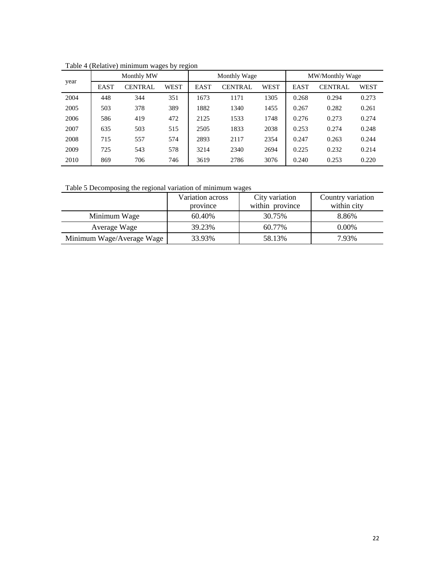|      |             | Monthly MW     |      |             | Monthly Wage   |      | MW/Monthly Wage |                |       |  |
|------|-------------|----------------|------|-------------|----------------|------|-----------------|----------------|-------|--|
| year | <b>EAST</b> | <b>CENTRAL</b> | WEST | <b>EAST</b> | <b>CENTRAL</b> | WEST | EAST            | <b>CENTRAL</b> | WEST  |  |
| 2004 | 448         | 344            | 351  | 1673        | 1171           | 1305 | 0.268           | 0.294          | 0.273 |  |
| 2005 | 503         | 378            | 389  | 1882        | 1340           | 1455 | 0.267           | 0.282          | 0.261 |  |
| 2006 | 586         | 419            | 472  | 2125        | 1533           | 1748 | 0.276           | 0.273          | 0.274 |  |
| 2007 | 635         | 503            | 515  | 2505        | 1833           | 2038 | 0.253           | 0.274          | 0.248 |  |
| 2008 | 715         | 557            | 574  | 2893        | 2117           | 2354 | 0.247           | 0.263          | 0.244 |  |
| 2009 | 725         | 543            | 578  | 3214        | 2340           | 2694 | 0.225           | 0.232          | 0.214 |  |
| 2010 | 869         | 706            | 746  | 3619        | 2786           | 3076 | 0.240           | 0.253          | 0.220 |  |

<span id="page-23-0"></span>Table 4 (Relative) minimum wages by region

<span id="page-23-1"></span>Table 5 Decomposing the regional variation of minimum wages

|                           | Variation across | City variation  | Country variation |
|---------------------------|------------------|-----------------|-------------------|
|                           | province         | within province | within city       |
| Minimum Wage              | 60.40%           | 30.75%          | 8.86%             |
| Average Wage              | 39.23%           | 60.77%          | $0.00\%$          |
| Minimum Wage/Average Wage | 33.93%           | 58.13%          | 7.93%             |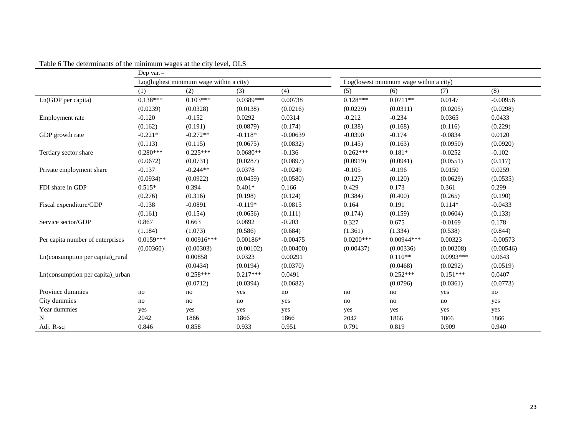<span id="page-24-0"></span>

|                                  | Dep var. $=$ |                                         |             |            |             |                                        |             |            |
|----------------------------------|--------------|-----------------------------------------|-------------|------------|-------------|----------------------------------------|-------------|------------|
|                                  |              | Log(highest minimum wage within a city) |             |            |             | Log(lowest minimum wage within a city) |             |            |
|                                  | (1)          | (2)                                     | (3)         | (4)        | (5)         | (6)                                    | (7)         | (8)        |
| Ln(GDP per capita)               | $0.138***$   | $0.103***$                              | $0.0389***$ | 0.00738    | $0.128***$  | $0.0711**$                             | 0.0147      | $-0.00956$ |
|                                  | (0.0239)     | (0.0328)                                | (0.0138)    | (0.0216)   | (0.0229)    | (0.0311)                               | (0.0205)    | (0.0298)   |
| Employment rate                  | $-0.120$     | $-0.152$                                | 0.0292      | 0.0314     | $-0.212$    | $-0.234$                               | 0.0365      | 0.0433     |
|                                  | (0.162)      | (0.191)                                 | (0.0879)    | (0.174)    | (0.138)     | (0.168)                                | (0.116)     | (0.229)    |
| GDP growth rate                  | $-0.221*$    | $-0.272**$                              | $-0.118*$   | $-0.00639$ | $-0.0390$   | $-0.174$                               | $-0.0834$   | 0.0120     |
|                                  | (0.113)      | (0.115)                                 | (0.0675)    | (0.0832)   | (0.145)     | (0.163)                                | (0.0950)    | (0.0920)   |
| Tertiary sector share            | $0.280***$   | $0.225***$                              | $0.0680**$  | $-0.136$   | $0.262***$  | $0.181*$                               | $-0.0252$   | $-0.102$   |
|                                  | (0.0672)     | (0.0731)                                | (0.0287)    | (0.0897)   | (0.0919)    | (0.0941)                               | (0.0551)    | (0.117)    |
| Private employment share         | $-0.137$     | $-0.244**$                              | 0.0378      | $-0.0249$  | $-0.105$    | $-0.196$                               | 0.0150      | 0.0259     |
|                                  | (0.0934)     | (0.0922)                                | (0.0459)    | (0.0580)   | (0.127)     | (0.120)                                | (0.0629)    | (0.0535)   |
| FDI share in GDP                 | $0.515*$     | 0.394                                   | $0.401*$    | 0.166      | 0.429       | 0.173                                  | 0.361       | 0.299      |
|                                  | (0.276)      | (0.316)                                 | (0.198)     | (0.124)    | (0.384)     | (0.400)                                | (0.265)     | (0.190)    |
| Fiscal expenditure/GDP           | $-0.138$     | $-0.0891$                               | $-0.119*$   | $-0.0815$  | 0.164       | 0.191                                  | $0.114*$    | $-0.0433$  |
|                                  | (0.161)      | (0.154)                                 | (0.0656)    | (0.111)    | (0.174)     | (0.159)                                | (0.0604)    | (0.133)    |
| Service sector/GDP               | 0.867        | 0.663                                   | 0.0892      | $-0.203$   | 0.327       | 0.675                                  | $-0.0169$   | 0.178      |
|                                  | (1.184)      | (1.073)                                 | (0.586)     | (0.684)    | (1.361)     | (1.334)                                | (0.538)     | (0.844)    |
| Per capita number of enterprises | $0.0159***$  | $0.00916***$                            | $0.00186*$  | $-0.00475$ | $0.0200***$ | $0.00944***$                           | 0.00323     | $-0.00573$ |
|                                  | (0.00360)    | (0.00303)                               | (0.00102)   | (0.00400)  | (0.00437)   | (0.00336)                              | (0.00208)   | (0.00546)  |
| Ln(consumption per capita)_rural |              | 0.00858                                 | 0.0323      | 0.00291    |             | $0.110**$                              | $0.0993***$ | 0.0643     |
|                                  |              | (0.0434)                                | (0.0194)    | (0.0370)   |             | (0.0468)                               | (0.0292)    | (0.0519)   |
| Ln(consumption per capita)_urban |              | $0.258***$                              | $0.217***$  | 0.0491     |             | $0.252***$                             | $0.151***$  | 0.0407     |
|                                  |              | (0.0712)                                | (0.0394)    | (0.0682)   |             | (0.0796)                               | (0.0361)    | (0.0773)   |
| Province dummies                 | no           | no                                      | yes         | no         | no          | no                                     | yes         | no         |
| City dummies                     | no           | no                                      | no          | yes        | no          | no                                     | no          | yes        |
| Year dummies                     | yes          | yes                                     | yes         | yes        | yes         | yes                                    | yes         | yes        |
| N                                | 2042         | 1866                                    | 1866        | 1866       | 2042        | 1866                                   | 1866        | 1866       |
| Adj. R-sq                        | 0.846        | 0.858                                   | 0.933       | 0.951      | 0.791       | 0.819                                  | 0.909       | 0.940      |

Table 6 The determinants of the minimum wages at the city level, OLS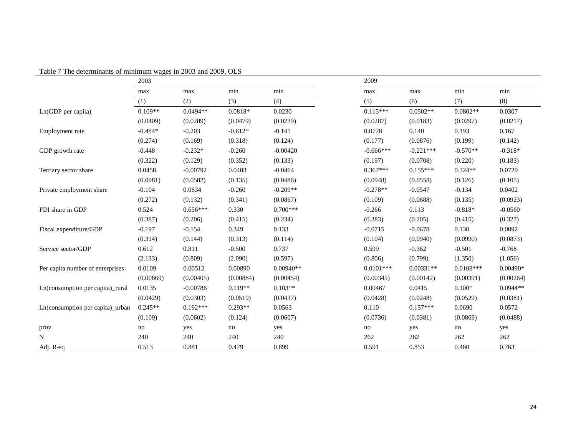<span id="page-25-0"></span>

|                                  | 2003      |            |           |             | 2009        |             |             |            |
|----------------------------------|-----------|------------|-----------|-------------|-------------|-------------|-------------|------------|
|                                  | max       | max        | min       | min         | max         | max         | min         | min        |
|                                  | (1)       | (2)        | (3)       | (4)         | (5)         | (6)         | (7)         | (8)        |
| Ln(GDP per capita)               | $0.109**$ | $0.0494**$ | $0.0818*$ | 0.0230      | $0.115***$  | $0.0502**$  | $0.0802**$  | 0.0307     |
|                                  | (0.0409)  | (0.0209)   | (0.0479)  | (0.0239)    | (0.0287)    | (0.0183)    | (0.0297)    | (0.0217)   |
| Employment rate                  | $-0.484*$ | $-0.203$   | $-0.612*$ | $-0.141$    | 0.0778      | 0.140       | 0.193       | 0.167      |
|                                  | (0.274)   | (0.169)    | (0.318)   | (0.124)     | (0.177)     | (0.0876)    | (0.199)     | (0.142)    |
| GDP growth rate                  | $-0.448$  | $-0.232*$  | $-0.260$  | $-0.00420$  | $-0.666***$ | $-0.221***$ | $-0.570**$  | $-0.318*$  |
|                                  | (0.322)   | (0.129)    | (0.352)   | (0.133)     | (0.197)     | (0.0708)    | (0.220)     | (0.183)    |
| Tertiary sector share            | 0.0458    | $-0.00792$ | 0.0403    | $-0.0464$   | $0.367***$  | $0.155***$  | $0.324**$   | 0.0729     |
|                                  | (0.0981)  | (0.0582)   | (0.135)   | (0.0486)    | (0.0948)    | (0.0558)    | (0.126)     | (0.105)    |
| Private employment share         | $-0.104$  | 0.0834     | $-0.260$  | $-0.209**$  | $-0.278**$  | $-0.0547$   | $-0.134$    | 0.0402     |
|                                  | (0.272)   | (0.132)    | (0.341)   | (0.0867)    | (0.109)     | (0.0688)    | (0.135)     | (0.0923)   |
| FDI share in GDP                 | 0.524     | $0.656***$ | 0.330     | $0.700***$  | $-0.266$    | 0.113       | $-0.818*$   | $-0.0560$  |
|                                  | (0.387)   | (0.206)    | (0.415)   | (0.234)     | (0.383)     | (0.205)     | (0.415)     | (0.327)    |
| Fiscal expenditure/GDP           | $-0.197$  | $-0.154$   | 0.349     | 0.133       | $-0.0715$   | $-0.0678$   | 0.130       | 0.0892     |
|                                  | (0.314)   | (0.144)    | (0.313)   | (0.114)     | (0.104)     | (0.0940)    | (0.0990)    | (0.0873)   |
| Service sector/GDP               | 0.612     | 0.811      | $-0.500$  | 0.737       | 0.599       | $-0.362$    | $-0.501$    | $-0.768$   |
|                                  | (2.133)   | (0.809)    | (2.090)   | (0.597)     | (0.806)     | (0.799)     | (1.350)     | (1.056)    |
| Per capita number of enterprises | 0.0109    | 0.00512    | 0.00890   | $0.00940**$ | $0.0101***$ | $0.00331**$ | $0.0108***$ | $0.00490*$ |
|                                  | (0.00869) | (0.00405)  | (0.00884) | (0.00454)   | (0.00345)   | (0.00142)   | (0.00391)   | (0.00264)  |
| Ln(consumption per capita)_rural | 0.0135    | $-0.00786$ | $0.119**$ | $0.103**$   | 0.00467     | 0.0415      | $0.100*$    | $0.0944**$ |
|                                  | (0.0429)  | (0.0303)   | (0.0519)  | (0.0437)    | (0.0428)    | (0.0248)    | (0.0529)    | (0.0381)   |
| Ln(consumption per capita) urban | $0.245**$ | $0.192***$ | $0.293**$ | 0.0563      | 0.110       | $0.157***$  | 0.0690      | 0.0572     |
|                                  | (0.109)   | (0.0602)   | (0.124)   | (0.0607)    | (0.0736)    | (0.0381)    | (0.0869)    | (0.0488)   |
| prov                             | no        | yes        | no        | yes         | no          | yes         | no          | yes        |
| $\mathbf N$                      | 240       | 240        | 240       | 240         | 262         | 262         | 262         | 262        |
| Adj. R-sq                        | 0.513     | 0.881      | 0.479     | 0.899       | 0.591       | 0.853       | 0.460       | 0.763      |

Table 7 The determinants of minimum wages in 2003 and 2009, OLS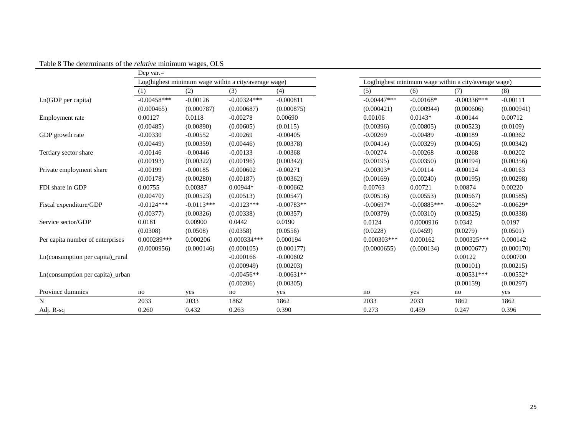<span id="page-26-0"></span>

|                                  | Dep var. $=$  |              |                                                      |              |                |               |                                                      |             |
|----------------------------------|---------------|--------------|------------------------------------------------------|--------------|----------------|---------------|------------------------------------------------------|-------------|
|                                  |               |              | Log(highest minimum wage within a city/average wage) |              |                |               | Log(highest minimum wage within a city/average wage) |             |
|                                  | (1)           | (2)          | (3)                                                  | (4)          | (5)            | (6)           | (7)                                                  | (8)         |
| $Ln(GDP$ per capita)             | $-0.00458***$ | $-0.00126$   | $-0.00324***$                                        | $-0.000811$  | $-0.00447***$  | $-0.00168*$   | $-0.00336***$                                        | $-0.00111$  |
|                                  | (0.000465)    | (0.000787)   | (0.000687)                                           | (0.000875)   | (0.000421)     | (0.000944)    | (0.000606)                                           | (0.000941)  |
| Employment rate                  | 0.00127       | 0.0118       | $-0.00278$                                           | 0.00690      | 0.00106        | $0.0143*$     | $-0.00144$                                           | 0.00712     |
|                                  | (0.00485)     | (0.00890)    | (0.00605)                                            | (0.0115)     | (0.00396)      | (0.00805)     | (0.00523)                                            | (0.0109)    |
| GDP growth rate                  | $-0.00330$    | $-0.00552$   | $-0.00269$                                           | $-0.00405$   | $-0.00269$     | $-0.00489$    | $-0.00189$                                           | $-0.00362$  |
|                                  | (0.00449)     | (0.00359)    | (0.00446)                                            | (0.00378)    | (0.00414)      | (0.00329)     | (0.00405)                                            | (0.00342)   |
| Tertiary sector share            | $-0.00146$    | $-0.00446$   | $-0.00133$                                           | $-0.00368$   | $-0.00274$     | $-0.00268$    | $-0.00268$                                           | $-0.00202$  |
|                                  | (0.00193)     | (0.00322)    | (0.00196)                                            | (0.00342)    | (0.00195)      | (0.00350)     | (0.00194)                                            | (0.00356)   |
| Private employment share         | $-0.00199$    | $-0.00185$   | $-0.000602$                                          | $-0.00271$   | $-0.00303*$    | $-0.00114$    | $-0.00124$                                           | $-0.00163$  |
|                                  | (0.00178)     | (0.00280)    | (0.00187)                                            | (0.00362)    | (0.00169)      | (0.00240)     | (0.00195)                                            | (0.00298)   |
| FDI share in GDP                 | 0.00755       | 0.00387      | $0.00944*$                                           | $-0.000662$  | 0.00763        | 0.00721       | 0.00874                                              | 0.00220     |
|                                  | (0.00470)     | (0.00523)    | (0.00513)                                            | (0.00547)    | (0.00516)      | (0.00553)     | (0.00567)                                            | (0.00585)   |
| Fiscal expenditure/GDP           | $-0.0124***$  | $-0.0113***$ | $-0.0123***$                                         | $-0.00783**$ | $-0.00697*$    | $-0.00885***$ | $-0.00652*$                                          | $-0.00629*$ |
|                                  | (0.00377)     | (0.00326)    | (0.00338)                                            | (0.00357)    | (0.00379)      | (0.00310)     | (0.00325)                                            | (0.00338)   |
| Service sector/GDP               | 0.0181        | 0.00900      | 0.0442                                               | 0.0190       | 0.0124         | 0.0000916     | 0.0342                                               | 0.0197      |
|                                  | (0.0308)      | (0.0508)     | (0.0358)                                             | (0.0556)     | (0.0228)       | (0.0459)      | (0.0279)                                             | (0.0501)    |
| Per capita number of enterprises | $0.000289***$ | 0.000206     | $0.000334***$                                        | 0.000194     | $0.000303$ *** | 0.000162      | $0.000325***$                                        | 0.000142    |
|                                  | (0.0000956)   | (0.000146)   | (0.000105)                                           | (0.000177)   | (0.0000655)    | (0.000134)    | (0.0000677)                                          | (0.000170)  |
| Ln(consumption per capita) rural |               |              | $-0.000166$                                          | $-0.000602$  |                |               | 0.00122                                              | 0.000700    |
|                                  |               |              | (0.000949)                                           | (0.00203)    |                |               | (0.00101)                                            | (0.00215)   |
| Ln(consumption per capita) urban |               |              | $-0.00456**$                                         | $-0.00631**$ |                |               | $-0.00531***$                                        | $-0.00552*$ |
|                                  |               |              | (0.00206)                                            | (0.00305)    |                |               | (0.00159)                                            | (0.00297)   |
| Province dummies                 | no            | yes          | no                                                   | yes          | no             | yes           | no                                                   | yes         |
| N                                | 2033          | 2033         | 1862                                                 | 1862         | 2033           | 2033          | 1862                                                 | 1862        |
| Adj. R-sq                        | 0.260         | 0.432        | 0.263                                                | 0.390        | 0.273          | 0.459         | 0.247                                                | 0.396       |

Table 8 The determinants of the *relative* minimum wages, OLS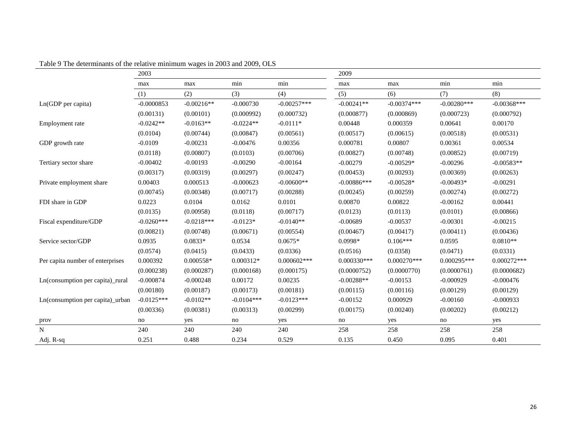<span id="page-27-0"></span>

|                                  | 2003         |              |              |                | 2009          |               |               |               |
|----------------------------------|--------------|--------------|--------------|----------------|---------------|---------------|---------------|---------------|
|                                  | max          | max          | min          | min            | max           | max           | min           | min           |
|                                  | (1)          | (2)          | (3)          | (4)            | (5)           | (6)           | (7)           | (8)           |
| Ln(GDP per capita)               | $-0.0000853$ | $-0.00216**$ | $-0.000730$  | $-0.00257***$  | $-0.00241**$  | $-0.00374***$ | $-0.00280***$ | $-0.00368***$ |
|                                  | (0.00131)    | (0.00101)    | (0.000992)   | (0.000732)     | (0.000877)    | (0.000869)    | (0.000723)    | (0.000792)    |
| Employment rate                  | $-0.0242**$  | $-0.0163**$  | $-0.0224**$  | $-0.0111*$     | 0.00448       | 0.000359      | 0.00641       | 0.00170       |
|                                  | (0.0104)     | (0.00744)    | (0.00847)    | (0.00561)      | (0.00517)     | (0.00615)     | (0.00518)     | (0.00531)     |
| GDP growth rate                  | $-0.0109$    | $-0.00231$   | $-0.00476$   | 0.00356        | 0.000781      | 0.00807       | 0.00361       | 0.00534       |
|                                  | (0.0118)     | (0.00807)    | (0.0103)     | (0.00706)      | (0.00827)     | (0.00748)     | (0.00852)     | (0.00719)     |
| Tertiary sector share            | $-0.00402$   | $-0.00193$   | $-0.00290$   | $-0.00164$     | $-0.00279$    | $-0.00529*$   | $-0.00296$    | $-0.00583**$  |
|                                  | (0.00317)    | (0.00319)    | (0.00297)    | (0.00247)      | (0.00453)     | (0.00293)     | (0.00369)     | (0.00263)     |
| Private employment share         | 0.00403      | 0.000513     | $-0.000623$  | $-0.00600**$   | $-0.00886***$ | $-0.00528*$   | $-0.00493*$   | $-0.00291$    |
|                                  | (0.00745)    | (0.00348)    | (0.00717)    | (0.00288)      | (0.00245)     | (0.00259)     | (0.00274)     | (0.00272)     |
| FDI share in GDP                 | 0.0223       | 0.0104       | 0.0162       | 0.0101         | 0.00870       | 0.00822       | $-0.00162$    | 0.00441       |
|                                  | (0.0135)     | (0.00958)    | (0.0118)     | (0.00717)      | (0.0123)      | (0.0113)      | (0.0101)      | (0.00866)     |
| Fiscal expenditure/GDP           | $-0.0260***$ | $-0.0218***$ | $-0.0123*$   | $-0.0140**$    | $-0.00689$    | $-0.00537$    | $-0.00301$    | $-0.00215$    |
|                                  | (0.00821)    | (0.00748)    | (0.00671)    | (0.00554)      | (0.00467)     | (0.00417)     | (0.00411)     | (0.00436)     |
| Service sector/GDP               | 0.0935       | $0.0833*$    | 0.0534       | $0.0675*$      | $0.0998*$     | $0.106***$    | 0.0595        | $0.0810**$    |
|                                  | (0.0574)     | (0.0415)     | (0.0433)     | (0.0336)       | (0.0516)      | (0.0358)      | (0.0471)      | (0.0331)      |
| Per capita number of enterprises | 0.000392     | $0.000558*$  | 0.000312*    | $0.000602$ *** | $0.000330***$ | $0.000270***$ | $0.000295***$ | $0.000272***$ |
|                                  | (0.000238)   | (0.000287)   | (0.000168)   | (0.000175)     | (0.0000752)   | (0.0000770)   | (0.0000761)   | (0.0000682)   |
| Ln(consumption per capita)_rural | $-0.000874$  | $-0.000248$  | 0.00172      | 0.00235        | $-0.00288**$  | $-0.00153$    | $-0.000929$   | $-0.000476$   |
|                                  | (0.00180)    | (0.00187)    | (0.00173)    | (0.00181)      | (0.00115)     | (0.00116)     | (0.00129)     | (0.00129)     |
| Ln(consumption per capita)_urban | $-0.0125***$ | $-0.0102**$  | $-0.0104***$ | $-0.0123***$   | $-0.00152$    | 0.000929      | $-0.00160$    | $-0.000933$   |
|                                  | (0.00336)    | (0.00381)    | (0.00313)    | (0.00299)      | (0.00175)     | (0.00240)     | (0.00202)     | (0.00212)     |
| prov                             | no           | yes          | no           | yes            | no            | yes           | no            | yes           |
| N                                | 240          | 240          | 240          | 240            | 258           | 258           | 258           | 258           |
| Adj. R-sq                        | 0.251        | 0.488        | 0.234        | 0.529          | 0.135         | 0.450         | 0.095         | 0.401         |

Table 9 The determinants of the relative minimum wages in 2003 and 2009, OLS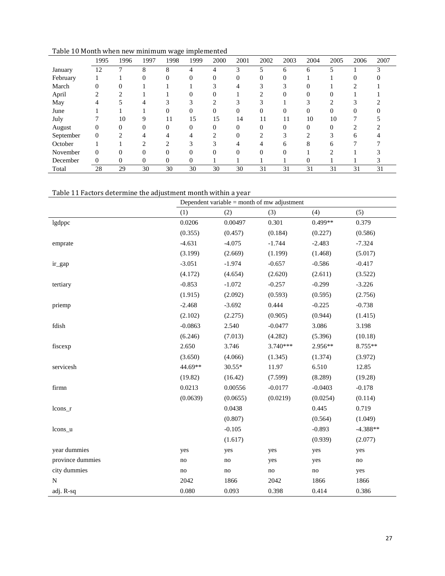<span id="page-28-0"></span>

| Table 10 Month when new minimum wage implemented |  |
|--------------------------------------------------|--|
|                                                  |  |

| rable To Month when hew infinition wage implemented | 1995         | 1996           | 1997         | 1998     | 1999         | 2000     | 2001     | 2002     | 2003     | 2004     | 2005     | 2006     | 2007 |
|-----------------------------------------------------|--------------|----------------|--------------|----------|--------------|----------|----------|----------|----------|----------|----------|----------|------|
| January                                             | 12           |                | 8            | 8        | 4            | 4        | 3        | 5        | 6        | 6        | 5        |          | ◠    |
| February                                            |              |                | 0            | $\Omega$ | $\Omega$     | $\Omega$ | $\Omega$ | $\Omega$ | $\Omega$ |          |          | $\Omega$ |      |
| March                                               | $\Omega$     |                |              |          |              |          |          |          | 3        |          |          |          |      |
| April                                               |              | າ              |              |          |              | 0        |          |          | $\Omega$ | $\Omega$ | 0        |          |      |
| May                                                 |              |                |              |          | $\sim$       |          | 3        |          |          |          | ◠        |          |      |
| June                                                |              |                |              |          | $\Omega$     | $\Omega$ | $\Omega$ | $\Omega$ | $\Omega$ | $\Omega$ | $\Omega$ | $\Omega$ |      |
| July                                                |              | 10             | 9            | 11       | 15           | 15       | 14       | 11       | 11       | 10       | 10       |          |      |
| August                                              | $\Omega$     | $\Omega$       | $\Omega$     | $\Omega$ | $\Omega$     | $\Omega$ | $\Omega$ | $\Omega$ | $\Omega$ | $\Omega$ | $\Omega$ | ↑        |      |
| September                                           | $\mathbf{0}$ |                |              |          |              |          | $\Omega$ |          | 3        |          |          | 6        |      |
| October                                             |              |                | ◠            | ↑        | 3            |          |          |          | 6        | 8        | 6        |          |      |
| November                                            | $\Omega$     | $\Omega$       | $\Omega$     | $\Omega$ | $\Omega$     | $\Omega$ | $\Omega$ | $\Omega$ | $\Omega$ |          | ↑        |          |      |
| December                                            | $\Omega$     | $\overline{0}$ | $\mathbf{0}$ | $\theta$ | $\mathbf{0}$ |          |          |          |          | 0        |          |          |      |
| Total                                               | 28           | 29             | 30           | 30       | 30           | 30       | 30       | 31       | 31       | 31       | 31       | 31       | 31   |

#### <span id="page-28-1"></span>Table 11 Factors determine the adjustment month within a year

|                  | Dependent variable $=$ month of mw adjustment |          |           |           |                     |  |  |  |  |
|------------------|-----------------------------------------------|----------|-----------|-----------|---------------------|--|--|--|--|
|                  | (1)                                           | (2)      | (3)       | (4)       | (5)                 |  |  |  |  |
| lgdppc           | 0.0206                                        | 0.00497  | 0.301     | $0.499**$ | 0.379               |  |  |  |  |
|                  | (0.355)                                       | (0.457)  | (0.184)   | (0.227)   | (0.586)             |  |  |  |  |
| emprate          | $-4.631$                                      | $-4.075$ | $-1.744$  | $-2.483$  | $-7.324$            |  |  |  |  |
|                  | (3.199)                                       | (2.669)  | (1.199)   | (1.468)   | (5.017)             |  |  |  |  |
| ir_gap           | $-3.051$                                      | $-1.974$ | $-0.657$  | $-0.586$  | $-0.417$            |  |  |  |  |
|                  | (4.172)                                       | (4.654)  | (2.620)   | (2.611)   | (3.522)             |  |  |  |  |
| tertiary         | $-0.853$                                      | $-1.072$ | $-0.257$  | $-0.299$  | $-3.226$            |  |  |  |  |
|                  | (1.915)                                       | (2.092)  | (0.593)   | (0.595)   | (2.756)             |  |  |  |  |
| priemp           | $-2.468$                                      | $-3.692$ | 0.444     | $-0.225$  | $-0.738$            |  |  |  |  |
|                  | (2.102)                                       | (2.275)  | (0.905)   | (0.944)   | (1.415)             |  |  |  |  |
| fdish            | $-0.0863$                                     | 2.540    | $-0.0477$ | 3.086     | 3.198               |  |  |  |  |
|                  | (6.246)                                       | (7.013)  | (4.282)   | (5.396)   | (10.18)             |  |  |  |  |
| fiscexp          | 2.650                                         | 3.746    | 3.740***  | 2.956**   | 8.755**             |  |  |  |  |
|                  | (3.650)                                       | (4.066)  | (1.345)   | (1.374)   | (3.972)             |  |  |  |  |
| servicesh        | 44.69**                                       | 30.55*   | 11.97     | 6.510     | 12.85               |  |  |  |  |
|                  | (19.82)                                       | (16.42)  | (7.599)   | (8.289)   | (19.28)             |  |  |  |  |
| firmn            | 0.0213                                        | 0.00556  | $-0.0177$ | $-0.0403$ | $-0.178$            |  |  |  |  |
|                  | (0.0639)                                      | (0.0655) | (0.0219)  | (0.0254)  | (0.114)             |  |  |  |  |
| lcons_r          |                                               | 0.0438   |           | 0.445     | 0.719               |  |  |  |  |
|                  |                                               | (0.807)  |           | (0.564)   | (1.049)             |  |  |  |  |
| lcons_u          |                                               | $-0.105$ |           | $-0.893$  | $-4.388**$          |  |  |  |  |
|                  |                                               | (1.617)  |           | (0.939)   | (2.077)             |  |  |  |  |
| year dummies     | yes                                           | yes      | yes       | yes       | yes                 |  |  |  |  |
| province dummies | no                                            | no       | yes       | yes       | $\operatorname{no}$ |  |  |  |  |
| city dummies     | no                                            | no       | no        | no        | yes                 |  |  |  |  |
| $\overline{N}$   | 2042                                          | 1866     | 2042      | 1866      | 1866                |  |  |  |  |
| adj. R-sq        | 0.080                                         | 0.093    | 0.398     | 0.414     | 0.386               |  |  |  |  |